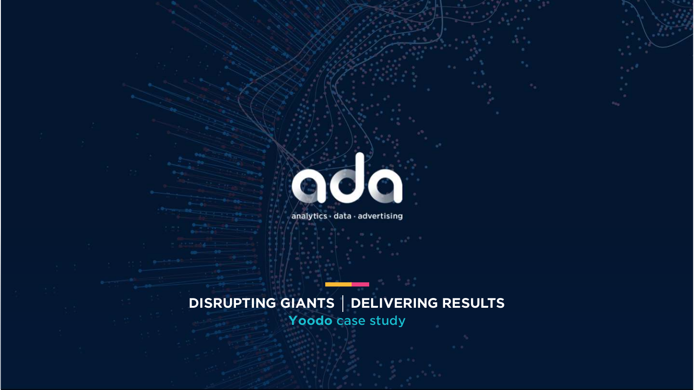# **C**

analytics · data · advertising

# **DISRUPTING GIANTS | DELIVERING RESULTS** Yoodo case study

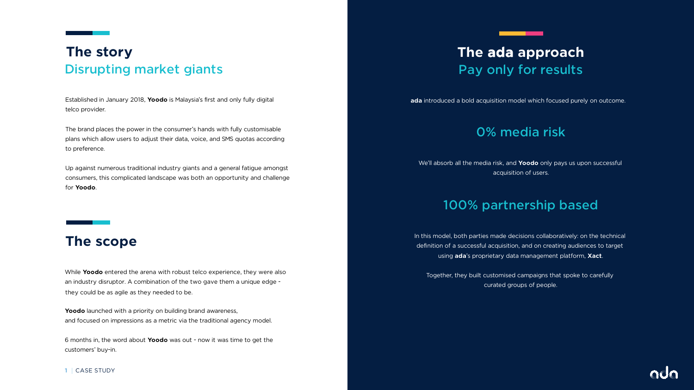Established in January 2018, **Yoodo** is Malaysia's first and only fully digital telco provider.

The brand places the power in the consumer's hands with fully customisable plans which allow users to adjust their data, voice, and SMS quotas according to preference.

## Disrupting market giants **The story**

Up against numerous traditional industry giants and a general fatigue amongst consumers, this complicated landscape was both an opportunity and challenge for **Yoodo**.

Yoodo launched with a priority on building brand awareness, and focused on impressions as a metric via the traditional agency model.

6 months in, the word about **Yoodo** was out - now it was time to get the customers' buy-in.

### **The scope**

# Pay only for results **The ada approach**

**1** CASE STUDY

**ada** introduced a bold acquisition model which focused purely on outcome.

While **Yoodo** entered the arena with robust telco experience, they were also an industry disruptor. A combination of the two gave them a unique edge they could be as agile as they needed to be.

# 0% media risk



We'll absorb all the media risk, and **Yoodo** only pays us upon successful acquisition of users.

### 100% partnership based

In this model, both parties made decisions collaboratively: on the technical definition of a successful acquisition, and on creating audiences to target using **ada**'s proprietary data management platform, **Xact**.

Together, they built customised campaigns that spoke to carefully curated groups of people.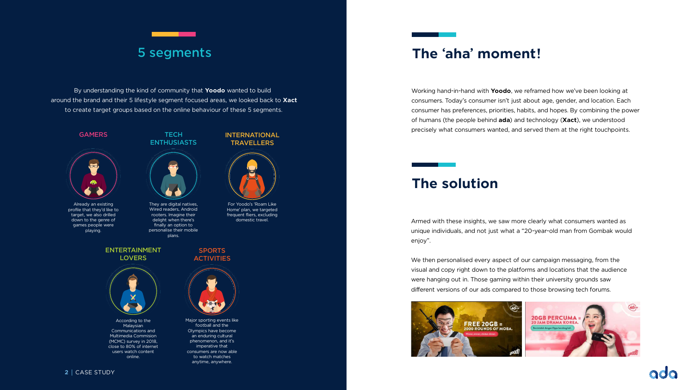Working hand-in-hand with **Yoodo**, we reframed how we've been looking at consumers. Today's consumer isn't just about age, gender, and location. Each consumer has preferences, priorities, habits, and hopes. By combining the power of humans (the people behind **ada**) and technology (**Xact**), we understood precisely what consumers wanted, and served them at the right touchpoints.

### **The 'aha' moment!**

Armed with these insights, we saw more clearly what consumers wanted as unique individuals, and not just what a "20-year-old man from Gombak would



enjoy".

We then personalised every aspect of our campaign messaging, from the visual and copy right down to the platforms and locations that the audience were hanging out in. Those gaming within their university grounds saw different versions of our ads compared to those browsing tech forums.



ENTERTAINMENT **LOVERS** 

### **The solution**

### 5 segments



Already an existing profile that they'd like to target, we also drilled down to the genre of games people were playing.

### **TECH ENTHUSIASTS**



They are digital natives, Wired readers, Android rooters. Imagine their delight when there's finally an option to personalise their mobile plans.



For Yoodo's 'Roam Like Home' plan, we targeted frequent fliers, excluding domestic travel.

### **SPORTS ACTIVITIES**





According to the Malaysian Communications and Multimedia Commision (MCMC) survey in 2018, close to 80% of internet users watch content online.

Major sporting events like football and the Olympics have become an enduring cultural phenomenon, and it's imperative that consumers are now able to watch matches anytime, anywhere.

By understanding the kind of community that **Yoodo** wanted to build around the brand and their 5 lifestyle segment focused areas, we looked back to **Xact** to create target groups based on the online behaviour of these 5 segments.

### **GAMERS**